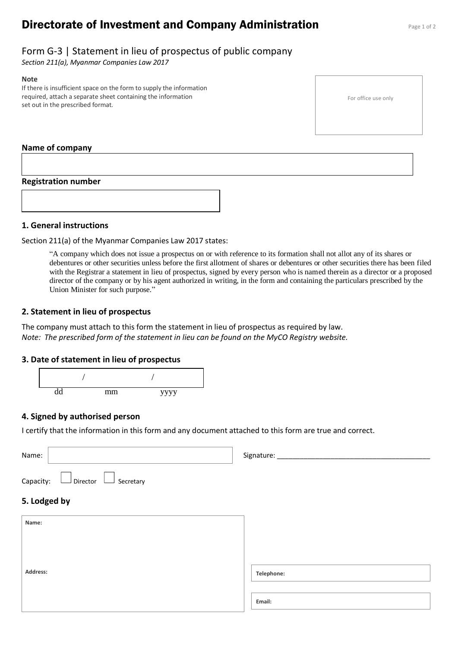# **Directorate of Investment and Company Administration** Page 1 of 2

## Form G-3 | Statement in lieu of prospectus of public company

*Section 211(a), Myanmar Companies Law 2017*

#### **Note**

If there is insufficient space on the form to supply the information required, attach a separate sheet containing the information set out in the prescribed format.

For office use only

#### **Name of company**

#### **Registration number**



#### **1. General instructions**

Section 211(a) of the Myanmar Companies Law 2017 states:

"A company which does not issue a prospectus on or with reference to its formation shall not allot any of its shares or debentures or other securities unless before the first allotment of shares or debentures or other securities there has been filed with the Registrar a statement in lieu of prospectus, signed by every person who is named therein as a director or a proposed director of the company or by his agent authorized in writing, in the form and containing the particulars prescribed by the Union Minister for such purpose."

#### **2. Statement in lieu of prospectus**

The company must attach to this form the statement in lieu of prospectus as required by law. *Note: The prescribed form of the statement in lieu can be found on the MyCO Registry website.*

### **3. Date of statement in lieu of prospectus**



### **4. Signed by authorised person**

I certify that the information in this form and any document attached to this form are true and correct.

| Name:                           | Signature: _____ |
|---------------------------------|------------------|
| Director Secretary<br>Capacity: |                  |
| 5. Lodged by                    |                  |
| Name:                           |                  |
|                                 |                  |
| Address:                        | Telephone:       |
|                                 |                  |
|                                 | Email:           |